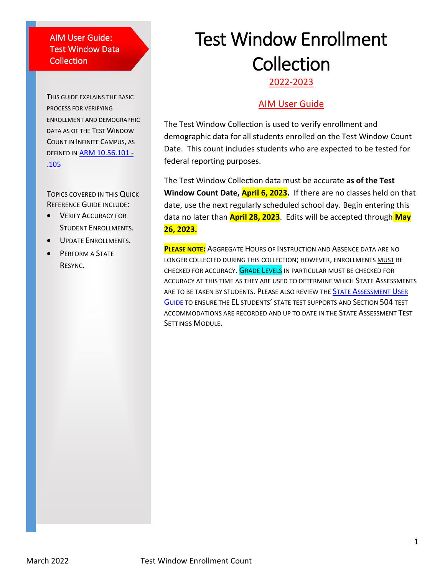#### AIM User Guide: Test Window Data Collection

THIS GUIDE EXPLAINS THE BASIC PROCESS FOR VERIFYING ENROLLMENT AND DEMOGRAPHIC DATA AS OF THE TEST WINDOW COUNT IN INFINITE CAMPUS, AS DEFINED IN [ARM 10.56.101 -](https://rules.mt.gov/gateway/RuleNo.asp?RN=10%2E56%2E101) [.105](https://rules.mt.gov/gateway/RuleNo.asp?RN=10%2E56%2E101)

TOPICS COVERED IN THIS QUICK REFERENCE GUIDE INCLUDE:

- **VERIFY ACCURACY FOR** STUDENT ENROLLMENTS.
- UPDATE ENROLLMENTS.
- **PERFORM A STATE** RESYNC.

# Test Window Enrollment **Collection**

2022-2023

### AIM User Guide

The Test Window Collection is used to verify enrollment and demographic data for all students enrolled on the Test Window Count Date. This count includes students who are expected to be tested for federal reporting purposes.

The Test Window Collection data must be accurate **as of the Test Window Count Date, April 6, 2023.** If there are no classes held on that date, use the next regularly scheduled school day. Begin entering this data no later than **April 28, 2023**. Edits will be accepted through **May 26, 2023.**

**PLEASE NOTE:** AGGREGATE HOURS OF INSTRUCTION AND ABSENCE DATA ARE NO LONGER COLLECTED DURING THIS COLLECTION; HOWEVER, ENROLLMENTS MUST BE CHECKED FOR ACCURACY. GRADE LEVELS IN PARTICULAR MUST BE CHECKED FOR ACCURACY AT THIS TIME AS THEY ARE USED TO DETERMINE WHICH STATE ASSESSMENTS ARE TO BE TAKEN BY STUDENTS. PLEASE ALSO REVIEW THE STATE A[SSESSMENT](https://opi.mt.gov/Portals/182/Page%20Files/AIM/2%20AIM%20USER%20GUIDES/User%20Guides%20by%20Topic/State%20Assessment%20Test%20Settings.pdf?ver=2021-07-23-093312-763) USER G[UIDE](https://opi.mt.gov/Portals/182/Page%20Files/AIM/2%20AIM%20USER%20GUIDES/User%20Guides%20by%20Topic/State%20Assessment%20Test%20Settings.pdf?ver=2021-07-23-093312-763) TO ENSURE THE EL STUDENTS' STATE TEST SUPPORTS AND SECTION 504 TEST ACCOMMODATIONS ARE RECORDED AND UP TO DATE IN THE STATE ASSESSMENT TEST SETTINGS MODULE.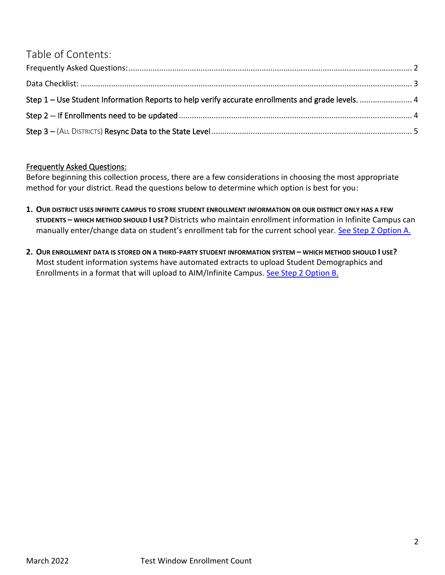## Table of Contents:

| Step 1 – Use Student Information Reports to help verify accurate enrollments and grade levels.  4 |  |
|---------------------------------------------------------------------------------------------------|--|
|                                                                                                   |  |
|                                                                                                   |  |

### <span id="page-1-0"></span>Frequently Asked Questions:

Before beginning this collection process, there are a few considerations in choosing the most appropriate method for your district. Read the questions below to determine which option is best for you:

- **1. OUR DISTRICT USES INFINITE CAMPUS TO STORE STUDENT ENROLLMENT INFORMATION OR OUR DISTRICT ONLY HAS A FEW STUDENTS – WHICH METHOD SHOULD I USE?** Districts who maintain enrollment information in Infinite Campus can manually enter/change data on student's enrollment tab for the current school year. See [Step 2 Option A.](#page-3-2)
- **2. OUR ENROLLMENT DATA IS STORED ON A THIRD-PARTY STUDENT INFORMATION SYSTEM – WHICH METHOD SHOULD I USE?**  Most student information systems have automated extracts to upload Student Demographics and Enrollments in a format that will upload to AIM/Infinite Campus. See [Step 2 Option B.](#page-3-3)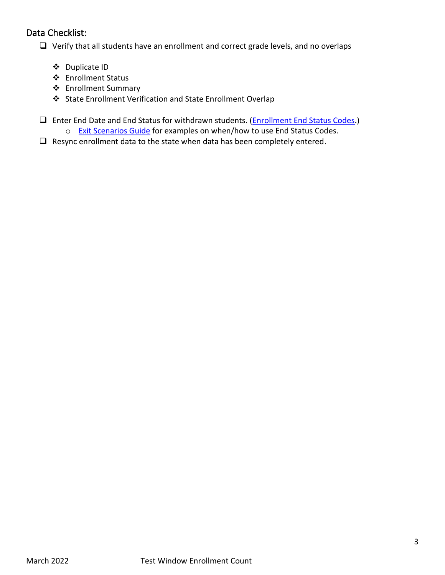## <span id="page-2-0"></span>Data Checklist:

❑ Verify that all students have an enrollment and correct grade levels, and no overlaps

- ❖ Duplicate ID
- ❖ Enrollment Status
- ❖ Enrollment Summary
- ❖ State Enrollment Verification and State Enrollment Overlap
- ❑ Enter End Date and End Status for withdrawn students. (Enrollment End Status Codes.)
	- o Exit Scenarios Guide for examples on when/how to use End Status Codes.
- ❑ Resync enrollment data to the state when data has been completely entered.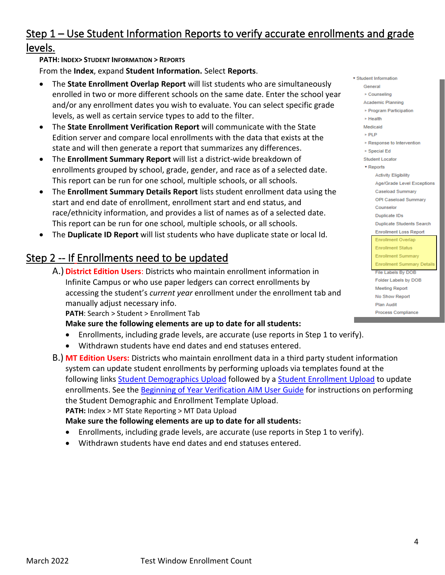## <span id="page-3-0"></span>Step 1 – Use Student Information Reports to verify accurate enrollments and grade levels.

#### **PATH: INDEX> STUDENT INFORMATION > REPORTS**

From the **Index**, expand **Student Information.** Select **Reports**.

- The **State Enrollment Overlap Report** will list students who are simultaneously enrolled in two or more different schools on the same date. Enter the school year and/or any enrollment dates you wish to evaluate. You can select specific grade levels, as well as certain service types to add to the filter.
- The **State Enrollment Verification Report** will communicate with the State Edition server and compare local enrollments with the data that exists at the state and will then generate a report that summarizes any differences.
- The **Enrollment Summary Report** will list a district-wide breakdown of enrollments grouped by school, grade, gender, and race as of a selected date. This report can be run for one school, multiple schools, or all schools.
- The **Enrollment Summary Details Report** lists student enrollment data using the start and end date of enrollment, enrollment start and end status, and race/ethnicity information, and provides a list of names as of a selected date. This report can be run for one school, multiple schools, or all schools.
- The **Duplicate ID Report** will list students who have duplicate state or local Id.

## <span id="page-3-2"></span><span id="page-3-1"></span>Step 2 -- If Enrollments need to be updated

A.) **District Edition Users**: Districts who maintain enrollment information in Infinite Campus or who use paper ledgers can correct enrollments by accessing the student's *current year* enrollment under the enrollment tab and manually adjust necessary info.

**PATH**: Search > Student > Enrollment Tab

**Make sure the following elements are up to date for all students:**

- Enrollments, including grade levels, are accurate (use reports in Step 1 to verify).
- Withdrawn students have end dates and end statuses entered.
- <span id="page-3-3"></span>B.) **MT Edition Users:** Districts who maintain enrollment data in a third party student information system can update student enrollments by performing uploads via templates found at the following links Student Demographics Upload followed by a Student Enrollment Upload to update enrollments. See the Beginning of Year Verification AIM User Guide for instructions on performing the Student Demographic and Enrollment Template Upload. **PATH:** Index > MT State Reporting > MT Data Upload

**Make sure the following elements are up to date for all students:**

- Enrollments, including grade levels, are accurate (use reports in Step 1 to verify).
- Withdrawn students have end dates and end statuses entered.

| dent Information           |                                   |  |
|----------------------------|-----------------------------------|--|
| <b>General</b>             |                                   |  |
| ► Counseling               |                                   |  |
| <b>Academic Planning</b>   |                                   |  |
| ▶ Program Participation    |                                   |  |
| $\triangleright$ Health    |                                   |  |
| Medicaid                   |                                   |  |
| ► PLP                      |                                   |  |
| ▶ Response to Intervention |                                   |  |
|                            | ▶ Special Ed                      |  |
| <b>Student Locator</b>     |                                   |  |
| ▼ Reports                  |                                   |  |
|                            | <b>Activity Eligibility</b>       |  |
|                            | Age/Grade Level Exceptions        |  |
|                            | <b>Caseload Summary</b>           |  |
|                            | <b>OPI Caseload Summary</b>       |  |
|                            | Counselor                         |  |
|                            | Duplicate IDs                     |  |
|                            | <b>Duplicate Students Search</b>  |  |
|                            | <b>Enrollment Loss Report</b>     |  |
|                            | <b>Enrollment Overlap</b>         |  |
|                            | <b>Enrollment Status</b>          |  |
|                            | <b>Enrollment Summary</b>         |  |
|                            | <b>Enrollment Summary Details</b> |  |
|                            | File Labels By DOB                |  |
|                            | Folder Labels by DOB              |  |
|                            | <b>Meeting Report</b>             |  |
|                            | No Show Report                    |  |
|                            | <b>Plan Audit</b>                 |  |
|                            | <b>Process Compliance</b>         |  |
|                            |                                   |  |

 $\overline{\mathbf{v}}$  Stude Ge

> $\Delta c$ k.

Me

Sti